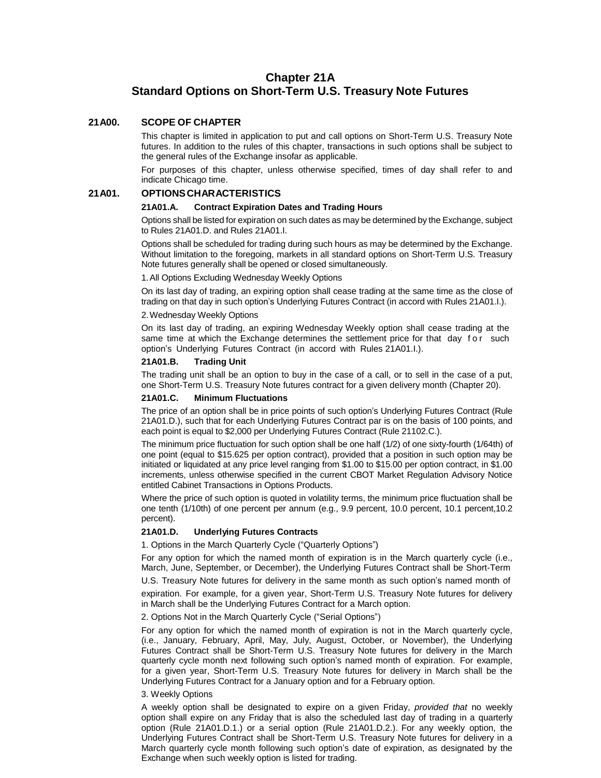# **Chapter 21A Standard Options on Short-Term U.S. Treasury Note Futures**

# **21A00. SCOPE OF CHAPTER**

This chapter is limited in application to put and call options on Short-Term U.S. Treasury Note futures. In addition to the rules of this chapter, transactions in such options shall be subject to the general rules of the Exchange insofar as applicable.

For purposes of this chapter, unless otherwise specified, times of day shall refer to and indicate Chicago time.

# **21A01. OPTIONSCHARACTERISTICS**

#### **21A01.A. Contract Expiration Dates and Trading Hours**

Options shall be listed for expiration on such dates as may be determined by the Exchange, subject to Rules 21A01.D. and Rules 21A01.I.

Options shall be scheduled for trading during such hours as may be determined by the Exchange. Without limitation to the foregoing, markets in all standard options on Short-Term U.S. Treasury Note futures generally shall be opened or closed simultaneously.

1.All Options Excluding Wednesday Weekly Options

On its last day of trading, an expiring option shall cease trading at the same time as the close of trading on that day in such option's Underlying Futures Contract (in accord with Rules 21A01.I.).

#### 2.Wednesday Weekly Options

On its last day of trading, an expiring Wednesday Weekly option shall cease trading at the same time at which the Exchange determines the settlement price for that day for such option's Underlying Futures Contract (in accord with Rules 21A01.I.).

### **21A01.B. Trading Unit**

The trading unit shall be an option to buy in the case of a call, or to sell in the case of a put, one Short-Term U.S. Treasury Note futures contract for a given delivery month (Chapter 20).

#### **21A01.C. Minimum Fluctuations**

The price of an option shall be in price points of such option's Underlying Futures Contract (Rule 21A01.D.), such that for each Underlying Futures Contract par is on the basis of 100 points, and each point is equal to \$2,000 per Underlying Futures Contract (Rule 21102.C.).

The minimum price fluctuation for such option shall be one half (1/2) of one sixty-fourth (1/64th) of one point (equal to \$15.625 per option contract), provided that a position in such option may be initiated or liquidated at any price level ranging from \$1.00 to \$15.00 per option contract, in \$1.00 increments, unless otherwise specified in the current CBOT Market Regulation Advisory Notice entitled Cabinet Transactions in Options Products.

Where the price of such option is quoted in volatility terms, the minimum price fluctuation shall be one tenth (1/10th) of one percent per annum (e.g., 9.9 percent, 10.0 percent, 10.1 percent,10.2 percent).

# **21A01.D. Underlying Futures Contracts**

1. Options in the March Quarterly Cycle ("Quarterly Options")

For any option for which the named month of expiration is in the March quarterly cycle (i.e., March, June, September, or December), the Underlying Futures Contract shall be Short-Term

U.S. Treasury Note futures for delivery in the same month as such option's named month of expiration. For example, for a given year, Short-Term U.S. Treasury Note futures for delivery in March shall be the Underlying Futures Contract for a March option.

# 2. Options Not in the March Quarterly Cycle ("Serial Options")

For any option for which the named month of expiration is not in the March quarterly cycle, (i.e., January, February, April, May, July, August, October, or November), the Underlying Futures Contract shall be Short-Term U.S. Treasury Note futures for delivery in the March quarterly cycle month next following such option's named month of expiration. For example, for a given year, Short-Term U.S. Treasury Note futures for delivery in March shall be the Underlying Futures Contract for a January option and for a February option.

#### 3. Weekly Options

A weekly option shall be designated to expire on a given Friday, *provided that* no weekly option shall expire on any Friday that is also the scheduled last day of trading in a quarterly option (Rule 21A01.D.1.) or a serial option (Rule 21A01.D.2.). For any weekly option, the Underlying Futures Contract shall be Short-Term U.S. Treasury Note futures for delivery in a March quarterly cycle month following such option's date of expiration, as designated by the Exchange when such weekly option is listed for trading.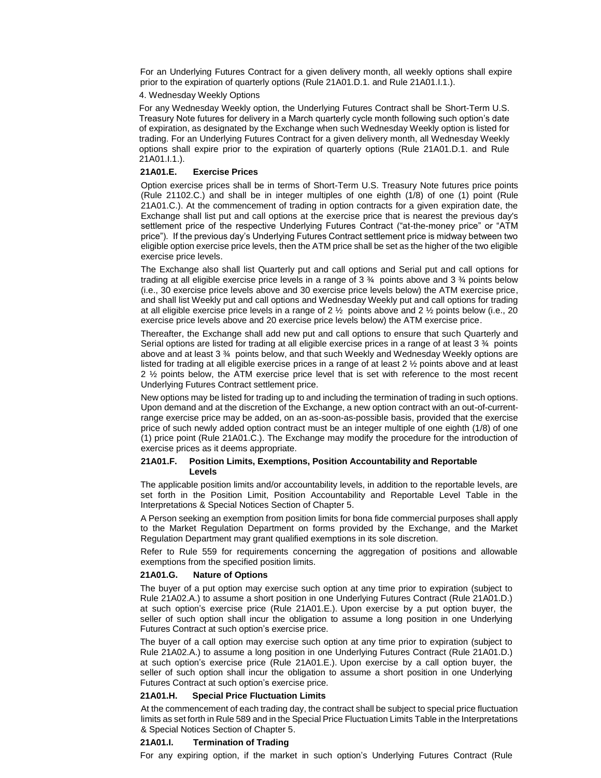For an Underlying Futures Contract for a given delivery month, all weekly options shall expire prior to the expiration of quarterly options (Rule 21A01.D.1. and Rule 21A01.I.1.).

#### 4. Wednesday Weekly Options

For any Wednesday Weekly option, the Underlying Futures Contract shall be Short-Term U.S. Treasury Note futures for delivery in a March quarterly cycle month following such option's date of expiration, as designated by the Exchange when such Wednesday Weekly option is listed for trading. For an Underlying Futures Contract for a given delivery month, all Wednesday Weekly options shall expire prior to the expiration of quarterly options (Rule 21A01.D.1. and Rule 21A01.I.1.).

# **21A01.E. Exercise Prices**

Option exercise prices shall be in terms of Short-Term U.S. Treasury Note futures price points (Rule 21102.C.) and shall be in integer multiples of one eighth (1/8) of one (1) point (Rule 21A01.C.). At the commencement of trading in option contracts for a given expiration date, the Exchange shall list put and call options at the exercise price that is nearest the previous day's settlement price of the respective Underlying Futures Contract ("at-the-money price" or "ATM price"). If the previous day's Underlying Futures Contract settlement price is midway between two eligible option exercise price levels, then the ATM price shall be set as the higher of the two eligible exercise price levels.

The Exchange also shall list Quarterly put and call options and Serial put and call options for trading at all eligible exercise price levels in a range of  $3\frac{3}{4}$  points above and  $3\frac{3}{4}$  points below (i.e., 30 exercise price levels above and 30 exercise price levels below) the ATM exercise price, and shall list Weekly put and call options and Wednesday Weekly put and call options for trading at all eligible exercise price levels in a range of 2  $\frac{1}{2}$  points above and 2  $\frac{1}{2}$  points below (i.e., 20 exercise price levels above and 20 exercise price levels below) the ATM exercise price.

Thereafter, the Exchange shall add new put and call options to ensure that such Quarterly and Serial options are listed for trading at all eligible exercise prices in a range of at least 3 ¾ points above and at least 3 ¾ points below, and that such Weekly and Wednesday Weekly options are listed for trading at all eligible exercise prices in a range of at least 2 ½ points above and at least 2 ½ points below, the ATM exercise price level that is set with reference to the most recent Underlying Futures Contract settlement price.

New options may be listed for trading up to and including the termination of trading in such options. Upon demand and at the discretion of the Exchange, a new option contract with an out-of-currentrange exercise price may be added, on an as-soon-as-possible basis, provided that the exercise price of such newly added option contract must be an integer multiple of one eighth (1/8) of one (1) price point (Rule 21A01.C.). The Exchange may modify the procedure for the introduction of exercise prices as it deems appropriate.

#### **21A01.F. Position Limits, Exemptions, Position Accountability and Reportable Levels**

The applicable position limits and/or accountability levels, in addition to the reportable levels, are set forth in the Position Limit, Position Accountability and Reportable Level Table in the Interpretations & Special Notices Section of Chapter 5.

A Person seeking an exemption from position limits for bona fide commercial purposes shall apply to the Market Regulation Department on forms provided by the Exchange, and the Market Regulation Department may grant qualified exemptions in its sole discretion.

Refer to Rule 559 for requirements concerning the aggregation of positions and allowable exemptions from the specified position limits.

#### **21A01.G. Nature of Options**

The buyer of a put option may exercise such option at any time prior to expiration (subject to Rule 21A02.A.) to assume a short position in one Underlying Futures Contract (Rule 21A01.D.) at such option's exercise price (Rule 21A01.E.). Upon exercise by a put option buyer, the seller of such option shall incur the obligation to assume a long position in one Underlying Futures Contract at such option's exercise price.

The buyer of a call option may exercise such option at any time prior to expiration (subject to Rule 21A02.A.) to assume a long position in one Underlying Futures Contract (Rule 21A01.D.) at such option's exercise price (Rule 21A01.E.). Upon exercise by a call option buyer, the seller of such option shall incur the obligation to assume a short position in one Underlying Futures Contract at such option's exercise price.

#### **21A01.H. Special Price Fluctuation Limits**

At the commencement of each trading day, the contract shall be subject to special price fluctuation limits as set forth in Rule 589 and in the Special Price Fluctuation Limits Table in the Interpretations & Special Notices Section of Chapter 5.

#### **21A01.I. Termination of Trading**

For any expiring option, if the market in such option's Underlying Futures Contract (Rule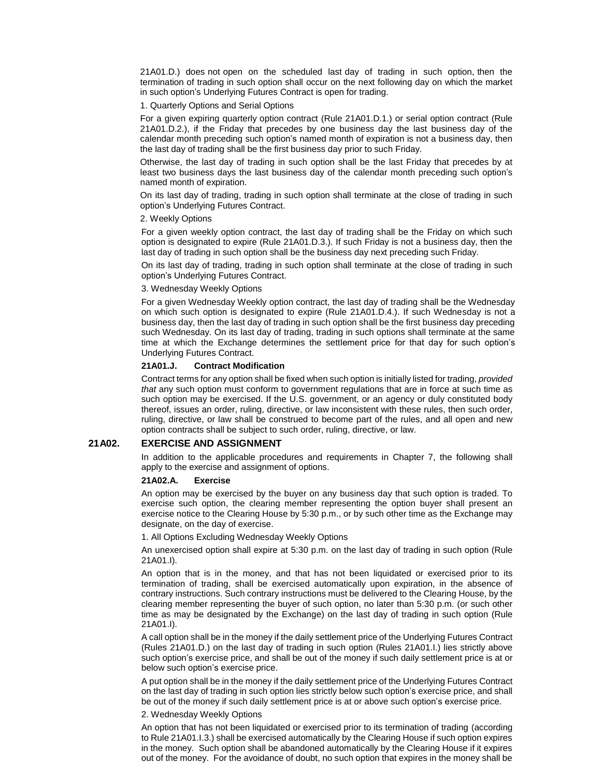21A01.D.) does not open on the scheduled last day of trading in such option, then the termination of trading in such option shall occur on the next following day on which the market in such option's Underlying Futures Contract is open for trading.

#### 1. Quarterly Options and Serial Options

For a given expiring quarterly option contract (Rule 21A01.D.1.) or serial option contract (Rule 21A01.D.2.), if the Friday that precedes by one business day the last business day of the calendar month preceding such option's named month of expiration is not a business day, then the last day of trading shall be the first business day prior to such Friday.

Otherwise, the last day of trading in such option shall be the last Friday that precedes by at least two business days the last business day of the calendar month preceding such option's named month of expiration.

On its last day of trading, trading in such option shall terminate at the close of trading in such option's Underlying Futures Contract.

#### 2. Weekly Options

For a given weekly option contract, the last day of trading shall be the Friday on which such option is designated to expire (Rule 21A01.D.3.). If such Friday is not a business day, then the last day of trading in such option shall be the business day next preceding such Friday.

On its last day of trading, trading in such option shall terminate at the close of trading in such option's Underlying Futures Contract.

#### 3. Wednesday Weekly Options

For a given Wednesday Weekly option contract, the last day of trading shall be the Wednesday on which such option is designated to expire (Rule 21A01.D.4.). If such Wednesday is not a business day, then the last day of trading in such option shall be the first business day preceding such Wednesday. On its last day of trading, trading in such options shall terminate at the same time at which the Exchange determines the settlement price for that day for such option's Underlying Futures Contract.

#### **21A01.J. Contract Modification**

Contract terms for any option shall be fixed when such option is initially listed for trading, *provided that* any such option must conform to government regulations that are in force at such time as such option may be exercised. If the U.S. government, or an agency or duly constituted body thereof, issues an order, ruling, directive, or law inconsistent with these rules, then such order, ruling, directive, or law shall be construed to become part of the rules, and all open and new option contracts shall be subject to such order, ruling, directive, or law.

# **21A02. EXERCISE AND ASSIGNMENT**

In addition to the applicable procedures and requirements in Chapter 7, the following shall apply to the exercise and assignment of options.

#### **21A02.A. Exercise**

An option may be exercised by the buyer on any business day that such option is traded. To exercise such option, the clearing member representing the option buyer shall present an exercise notice to the Clearing House by 5:30 p.m., or by such other time as the Exchange may designate, on the day of exercise.

1. All Options Excluding Wednesday Weekly Options

An unexercised option shall expire at 5:30 p.m. on the last day of trading in such option (Rule 21A01.I).

An option that is in the money, and that has not been liquidated or exercised prior to its termination of trading, shall be exercised automatically upon expiration, in the absence of contrary instructions. Such contrary instructions must be delivered to the Clearing House, by the clearing member representing the buyer of such option, no later than 5:30 p.m. (or such other time as may be designated by the Exchange) on the last day of trading in such option (Rule 21A01.I).

A call option shall be in the money if the daily settlement price of the Underlying Futures Contract (Rules 21A01.D.) on the last day of trading in such option (Rules 21A01.I.) lies strictly above such option's exercise price, and shall be out of the money if such daily settlement price is at or below such option's exercise price.

A put option shall be in the money if the daily settlement price of the Underlying Futures Contract on the last day of trading in such option lies strictly below such option's exercise price, and shall be out of the money if such daily settlement price is at or above such option's exercise price.

#### 2. Wednesday Weekly Options

An option that has not been liquidated or exercised prior to its termination of trading (according to Rule 21A01.I.3.) shall be exercised automatically by the Clearing House if such option expires in the money. Such option shall be abandoned automatically by the Clearing House if it expires out of the money. For the avoidance of doubt, no such option that expires in the money shall be